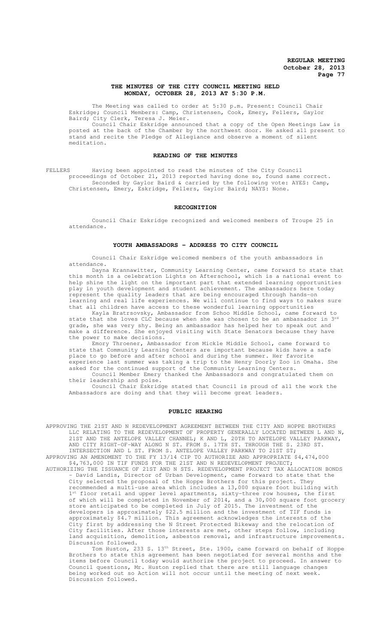## **THE MINUTES OF THE CITY COUNCIL MEETING HELD MONDAY, OCTOBER 28, 2013 AT 5:30 P.M.**

The Meeting was called to order at 5:30 p.m. Present: Council Chair Eskridge; Council Members: Camp, Christensen, Cook, Emery, Fellers, Gaylor Baird; City Clerk, Teresa J. Meier.

Council Chair Eskridge announced that a copy of the Open Meetings Law is posted at the back of the Chamber by the northwest door. He asked all present to stand and recite the Pledge of Allegiance and observe a moment of silent meditation.

#### **READING OF THE MINUTES**

FELLERS Having been appointed to read the minutes of the City Council proceedings of October 21, 2013 reported having done so, found same correct. Seconded by Gaylor Baird & carried by the following vote: AYES: Camp, Christensen, Emery, Eskridge, Fellers, Gaylor Baird; NAYS: None.

### **RECOGNITION**

Council Chair Eskridge recognized and welcomed members of Troupe 25 in attendance.

## **YOUTH AMBASSADORS - ADDRESS TO CITY COUNCIL**

Council Chair Eskridge welcomed members of the youth ambassadors in attendance.

Dayna Krannawitter, Community Learning Center, came forward to state that this month is a celebration Lights on Afterschool, which is a national event to help shine the light on the important part that extended learning opportunities play in youth development and student achievement. The ambassadors here today represent the quality leaders that are being encouraged through hands-on learning and real life experiences. We will continue to find ways to makes sure that all children have access to these wonderful learning opportunities

Kayla Bratrsovsky, Ambassador from Schoo Middle School, came forward to state that she loves CLC because when she was chosen to be an ambassador in 3<sup>rd</sup> grade, she was very shy. Being an ambassador has helped her to speak out and make a difference. She enjoyed visiting with State Senators because they have the power to make decisions.

Emory Throener, Ambassador from Mickle Middle School, came forward to state that Community Learning Centers are important because kids have a safe place to go before and after school and during the summer. Her favorite experience last summer was taking a trip to the Henry Doorly Zoo in Omaha. She asked for the continued support of the Community Learning Centers.

Council Member Emery thanked the Ambassadors and congratulated them on their leadership and poise.

Council Chair Eskridge stated that Council is proud of all the work the Ambassadors are doing and that they will become great leaders.

## **PUBLIC HEARING**

APPROVING THE 21ST AND N REDEVELOPMENT AGREEMENT BETWEEN THE CITY AND HOPPE BROTHERS LLC RELATING TO THE REDEVELOPMENT OF PROPERTY GENERALLY LOCATED BETWEEN L AND N, 21ST AND THE ANTELOPE VALLEY CHANNEL; K AND L, 20TH TO ANTELOPE VALLEY PARKWAY, AND CITY RIGHT-OF-WAY ALONG N ST. FROM S. 17TH ST. THROUGH THE S. 23RD ST. INTERSECTION AND L ST. FROM S. ANTELOPE VALLEY PARKWAY TO 21ST ST;

APPROVING AN AMENDMENT TO THE FY 13/14 CIP TO AUTHORIZE AND APPROPRIATE \$4,474,000 \$4,763,000 IN TIF FUNDS FOR THE 21ST AND N REDEVELOPMENT PROJECT; AUTHORIZING THE ISSUANCE OF 21ST AND N STS. REDEVELOPMENT PROJECT TAX ALLOCATION BONDS

- David Landis, Director of Urban Development, came forward to state that the City selected the proposal of the Hoppe Brothers for this project. They recommended a multi-use area which includes a 13,000 square foot building with 1<sup>st</sup> floor retail and upper level approximants 1<sup>st</sup> floor retail and upper level apartments, sixty-three row houses, the first of which will be completed in November of 2014, and a 30,000 square foot grocery store anticipated to be completed in July of 2015. The investment of the developers is approximately \$22.5 million and the investment of TIF funds is approximately \$4.7 million. This agreement acknowledges the interests of the City first by addressing the N Street Protected Bikeway and the relocation of City facilities. After those interests are met, other steps follow, including land acquisition, demolition, asbestos removal, and infrastructure improvements. Discussion followed.

Tom Huston, 233 S. 13<sup>th</sup> Street, Ste. 1900, came forward on behalf of Hoppe Brothers to state this agreement has been negotiated for several months and the items before Council today would authorize the project to proceed. In answer to Council questions, Mr. Huston replied that there are still language changes being worked out so Action will not occur until the meeting of next week. Discussion followed.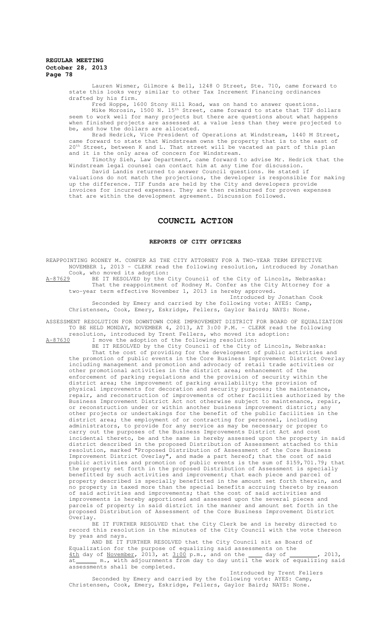Lauren Wismer, Gilmore & Bell, 1248 O Street, Ste. 710, came forward to state this looks very similar to other Tax Increment Financing ordinances drafted by his firm.

Fred Hoppe, 1600 Stony Hill Road, was on hand to answer questions. Mike Morosin, 1500 N. 15th Street, came forward to state that TIF dollars seem to work well for many projects but there are questions about what happens when finished projects are assessed at a value less than they were projected to be, and how the dollars are allocated.

Brad Hedrick, Vice President of Operations at Windstream, 1440 M Street, came forward to state that Windstream owns the property that is to the east of 20<sup>th</sup> Street, between K and L. That street will be vacated as part of this plan and it is the only area of concern for Windstream.

Timothy Sieh, Law Department, came forward to advise Mr. Hedrick that the Windstream legal counsel can contact him at any time for discussion.

David Landis returned to answer Council questions. He stated if valuations do not match the projections, the developer is responsible for making up the difference. TIF funds are held by the City and developers provide invoices for incurred expenses. They are then reimbursed for proven expenses that are within the development agreement. Discussion followed.

# **COUNCIL ACTION**

### **REPORTS OF CITY OFFICERS**

REAPPOINTING RODNEY M. CONFER AS THE CITY ATTORNEY FOR A TWO-YEAR TERM EFFECTIVE NOVEMBER 1, 2013 - CLERK read the following resolution, introduced by Jonathan Cook, who moved its adoption:<br>A-87629 BE IT RESOLVED by the C

A-87629 BE IT RESOLVED by the City Council of the City of Lincoln, Nebraska: That the reappointment of Rodney M. Confer as the City Attorney for a two-year term effective November 1, 2013 is hereby approved.

Introduced by Jonathan Cook Seconded by Emery and carried by the following vote: AYES: Camp, Christensen, Cook, Emery, Eskridge, Fellers, Gaylor Baird; NAYS: None.

ASSESSMENT RESOLUTION FOR DOWNTOWN CORE IMPROVEMENT DISTRICT FOR BOARD OF EQUALIZATION TO BE HELD MONDAY, NOVEMBER 4, 2013, AT 3:00 P.M. - CLERK read the following

resolution, introduced by Trent Fellers, who moved its adoption:<br>A-87630 I move the adoption of the following resolution: A-87630 I move the adoption of the following resolution:

BE IT RESOLVED by the City Council of the City of Lincoln, Nebraska: That the cost of providing for the development of public activities and the promotion of public events in the Core Business Improvement District Overlay including management and promotion and advocacy of retail trade activities or other promotional activities in the district area; enhancement of the enforcement of parking regulations and the provision of security within the district area; the improvement of parking availability; the provision of physical improvements for decoration and security purposes; the maintenance, repair, and reconstruction of improvements of other facilities authorized by the Business Improvement District Act not otherwise subject to maintenance, repair, or reconstruction under or within another business improvement district; any other projects or undertakings for the benefit of the public facilities in the district area; the employment of or contracting for personnel, including administrators, to provide for any service as may be necessary or proper to carry out the purposes of the Business Improvements District Act and cost incidental thereto, be and the same is hereby assessed upon the property in said district described in the proposed Distribution of Assessment attached to this resolution, marked "Proposed Distribution of Assessment of the Core Business Improvement District Overlay", and made a part hereof; that the cost of said public activities and promotion of public events is the sum of \$159,701.79; that the property set forth in the proposed Distribution of Assessment is specially benefitted by such activities and improvement; that each piece and parcel of property described is specially benefitted in the amount set forth therein, and no property is taxed more than the special benefits accruing thereto by reason of said activities and improvements; that the cost of said activities and improvements is hereby apportioned and assessed upon the several pieces and parcels of property in said district in the manner and amount set forth in the proposed Distribution of Assessment of the Core Business Improvement District Overlay.

BE IT FURTHER RESOLVED that the City Clerk be and is hereby directed to record this resolution in the minutes of the City Council with the vote thereon by yeas and nays.

AND BE IT FURTHER RESOLVED that the City Council sit as Board of Equalization for the purpose of equalizing said assessments on the  $\frac{4 \text{th}}{2}$  day of  $\frac{100 \text{th}}{2}$  day of  $\frac{100 \text{th}}{2}$ 4th day of November, 2013, at 3:00 p.m., and on the 10 day of 11, 2013, at \_\_\_\_\_\_ m., with adjournments from day to day until the work of equalizing said assessments shall be completed.

Introduced by Trent Fellers Seconded by Emery and carried by the following vote: AYES: Camp, Christensen, Cook, Emery, Eskridge, Fellers, Gaylor Baird; NAYS: None.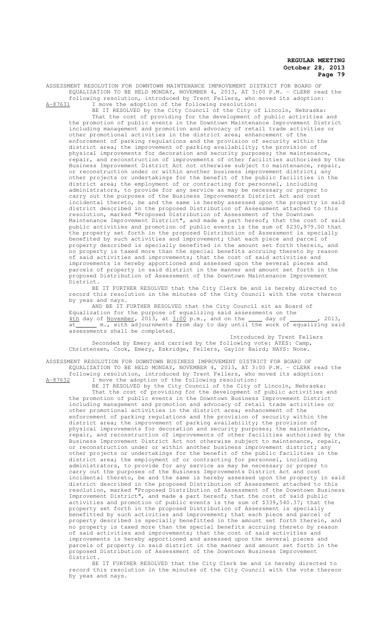ASSESSMENT RESOLUTION FOR DOWNTOWN MAINTENANCE IMPROVEMENT DISTRICT FOR BOARD OF EQUALIZATION TO BE HELD MONDAY, NOVEMBER 4, 2013, AT 3:00 P.M. - CLERK read the following resolution, introduced by Trent Fellers, who moved its adoption:<br> $A-87631$  I move the adoption of the following resolution: I move the adoption of the following resolution:

BE IT RESOLVED by the City Council of the City of Lincoln, Nebraska: That the cost of providing for the development of public activities and the promotion of public events in the Downtown Maintenance Improvement District including management and promotion and advocacy of retail trade activities or other promotional activities in the district area; enhancement of the enforcement of parking regulations and the provision of security within the district area; the improvement of parking availability; the provision of physical improvements for decoration and security purposes; the maintenance, repair, and reconstruction of improvements of other facilities authorized by the Business Improvement District Act not otherwise subject to maintenance, repair, or reconstruction under or within another business improvement district; any other projects or undertakings for the benefit of the public facilities in the district area; the employment of or contracting for personnel, including administrators, to provide for any service as may be necessary or proper to carry out the purposes of the Business Improvements District Act and cost incidental thereto, be and the same is hereby assessed upon the property in said district described in the proposed Distribution of Assessment attached to this resolution, marked "Proposed Distribution of Assessment of the Downtown Maintenance Improvement District", and made a part hereof; that the cost of said public activities and promotion of public events is the sum of \$230,979.00 that the property set forth in the proposed Distribution of Assessment is specially benefited by such activities and improvement; that each piece and parcel of property described is specially benefited in the amount set forth therein, and no property is taxed more than the special benefits accruing thereto by reason of said activities and improvements; that the cost of said activities and improvements is hereby apportioned and assessed upon the several pieces and<br>parcels of property in said district in the manner and amount set forth in the parcels of property in said district in the manner and amount set proposed Distribution of Assessment of the Downtown Maintenance Improvement District.

BE IT FURTHER RESOLVED that the City Clerk be and is hereby directed to record this resolution in the minutes of the City Council with the vote thereon by yeas and nays.

AND BE IT FURTHER RESOLVED that the City Council sit as Board of Equalization for the purpose of equalizing said assessments on the  $4th$  day of November, 2013, at  $3.00$  p.m., and on the  $\_\_\_\$  day of  $\_\_\_\_\$ , 2013, at\_\_\_\_\_\_\_ m., with adjournments from day to day until the work of equalizing said assessments shall be completed.

Introduced by Trent Fellers Seconded by Emery and carried by the following vote: AYES: Camp, Christensen, Cook, Emery, Eskridge, Fellers, Gaylor Baird; NAYS: None.

ASSESSMENT RESOLUTION FOR DOWNTOWN BUSINESS IMPROVEMENT DISTRICT FOR BOARD OF EQUALIZATION TO BE HELD MONDAY, NOVEMBER 4, 2013, AT 3:00 P.M. - CLERK read the

following resolution, introduced by Trent Fellers, who moved its adoption: A-87632 I move the adoption of the following resolution:

BE IT RESOLVED by the City Council of the City of Lincoln, Nebraska: That the cost of providing for the development of public activities and the promotion of public events in the Downtown Business Improvement District including management and promotion and advocacy of retail trade activities or other promotional activities in the district area; enhancement of the enforcement of parking regulations and the provision of security within the district area; the improvement of parking availability; the provision of physical improvements for decoration and security purposes; the maintenance, repair, and reconstruction of improvements of other facilities authorized by the Business Improvement District Act not otherwise subject to maintenance, repair, or reconstruction under or within another business improvement district; any other projects or undertakings for the benefit of the public facilities in the district area; the employment of or contracting for personnel, including administrators, to provide for any service as may be necessary or proper to carry out the purposes of the Business Improvements District Act and cost incidental thereto, be and the same is hereby assessed upon the property in said district described in the proposed Distribution of Assessment attached to this resolution, marked "Proposed Distribution of Assessment of the Downtown Business Improvement District", and made a part hereof; that the cost of said public activities and promotion of public events is the sum of \$339,540.37; that the property set forth in the proposed Distribution of Assessment is specially benefitted by such activities and improvement; that each piece and parcel of property described is specially benefitted in the amount set forth therein, and no property is taxed more than the special benefits accruing thereto by reason of said activities and improvements; that the cost of said activities and improvements is hereby apportioned and assessed upon the several pieces and parcels of property in said district in the manner and amount set forth in the proposed Distribution of Assessment of the Downtown Business Improvement District.

BE IT FURTHER RESOLVED that the City Clerk be and is hereby directed to record this resolution in the minutes of the City Council with the vote thereon by yeas and nays.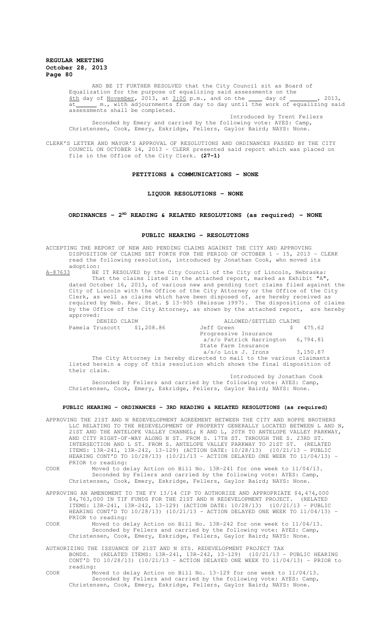AND BE IT FURTHER RESOLVED that the City Council sit as Board of Equalization for the purpose of equalizing said assessments on the  $4th$  day of November, 2013, at  $3:00$  p.m., and on the  $\_\_\_$  day of  $\_\_\_\_$ , 2013,  $\overline{\text{at}}$  m., with adjournments from day to day until the work of equalizing said assessments shall be completed.

Introduced by Trent Fellers Seconded by Emery and carried by the following vote: AYES: Camp, Christensen, Cook, Emery, Eskridge, Fellers, Gaylor Baird; NAYS: None.

CLERK'S LETTER AND MAYOR'S APPROVAL OF RESOLUTIONS AND ORDINANCES PASSED BY THE CITY COUNCIL ON OCTOBER 14, 2013 - CLERK presented said report which was placed on file in the Office of the City Clerk. **(27-1)**

### **PETITIONS & COMMUNICATIONS - NONE**

### **LIQUOR RESOLUTIONS - NONE**

# **ORDINANCES - 2ND READING & RELATED RESOLUTIONS (as required) - NONE**

#### **PUBLIC HEARING - RESOLUTIONS**

ACCEPTING THE REPORT OF NEW AND PENDING CLAIMS AGAINST THE CITY AND APPROVING DISPOSITION OF CLAIMS SET FORTH FOR THE PERIOD OF OCTOBER 1 - 15, 2013 - CLERK read the following resolution, introduced by Jonathan Cook, who moved its adoption:<br>A-87633 BE

A-87633 BE IT RESOLVED by the City Council of the City of Lincoln, Nebraska: That the claims listed in the attached report, marked as Exhibit "A", dated October 16, 2013, of various new and pending tort claims filed against the City of Lincoln with the Office of the City Attorney or the Office of the City Clerk, as well as claims which have been disposed of, are hereby received as required by Neb. Rev. Stat. § 13-905 (Reissue 1997). The dispositions of claims by the Office of the City Attorney, as shown by the attached report, are hereby approved:<br>DENIED CLAIM

 DENIED CLAIM ALLOWED/SETTLED CLAIMS Pamela Truscott \$1,208.86 Jeff Green \$ Progressive Insurance a/s/o Patrick Harrington 6,794.81 State Farm Insurance  $a/s/o$  Lois J. Irons  $3,150.87$ The City Attorney is hereby directed to mail to the various claimants listed herein a copy of this resolution which shows the final disposition of their claim.

Introduced by Jonathan Cook Seconded by Fellers and carried by the following vote: AYES: Camp, Christensen, Cook, Emery, Eskridge, Fellers, Gaylor Baird; NAYS: None.

## **PUBLIC HEARING - ORDINANCES - 3RD READING & RELATED RESOLUTIONS (as required)**

APPROVING THE 21ST AND N REDEVELOPMENT AGREEMENT BETWEEN THE CITY AND HOPPE BROTHERS LLC RELATING TO THE REDEVELOPMENT OF PROPERTY GENERALLY LOCATED BETWEEN L AND N, 21ST AND THE ANTELOPE VALLEY CHANNEL; K AND L, 20TH TO ANTELOPE VALLEY PARKWAY, AND CITY RIGHT-OF-WAY ALONG N ST. FROM S. 17TH ST. THROUGH THE S. 23RD ST. INTERSECTION AND L ST. FROM S. ANTELOPE VALLEY PARKWAY TO 21ST ST. (RELATED ITEMS: 13R-241, 13R-242, 13-129) (ACTION DATE: 10/28/13) (10/21/13 - PUBLIC HEARING CONT'D TO 10/28/13) (10/21/13 - ACTION DELAYED ONE WEEK TO 11/04/13) - PRIOR to reading:

COOK Moved to delay Action on Bill No. 13R-241 for one week to 11/04/13. Seconded by Fellers and carried by the following vote: AYES: Camp, Christensen, Cook, Emery, Eskridge, Fellers, Gaylor Baird; NAYS: None.

APPROVING AN AMENDMENT TO THE FY 13/14 CIP TO AUTHORIZE AND APPROPRIATE \$4,474,000 \$4,763,000 IN TIF FUNDS FOR THE 21ST AND N REDEVELOPMENT PROJECT. (RELATED ITEMS: 13R-241, 13R-242, 13-129) (ACTION DATE: 10/28/13) (10/21/13 - PUBLIC HEARING CONT'D TO 10/28/13) (10/21/13 - ACTION DELAYED ONE WEEK TO 11/04/13) - PRIOR to reading:

COOK Moved to delay Action on Bill No. 13R-242 for one week to 11/04/13. Seconded by Fellers and carried by the following vote: AYES: Camp, Christensen, Cook, Emery, Eskridge, Fellers, Gaylor Baird; NAYS: None.

AUTHORIZING THE ISSUANCE OF 21ST AND N STS. REDEVELOPMENT PROJECT TAX BONDS. (RELATED ITEMS: 13R-241, 13R-242, 13-129) (10/21/13 - PUBLIC HEARING CONT'D TO 10/28/13) (10/21/13 - ACTION DELAYED ONE WEEK TO 11/04/13) - PRIOR to reading:

COOK Moved to delay Action on Bill No. 13-129 for one week to 11/04/13. Seconded by Fellers and carried by the following vote: AYES: Camp, Christensen, Cook, Emery, Eskridge, Fellers, Gaylor Baird; NAYS: None.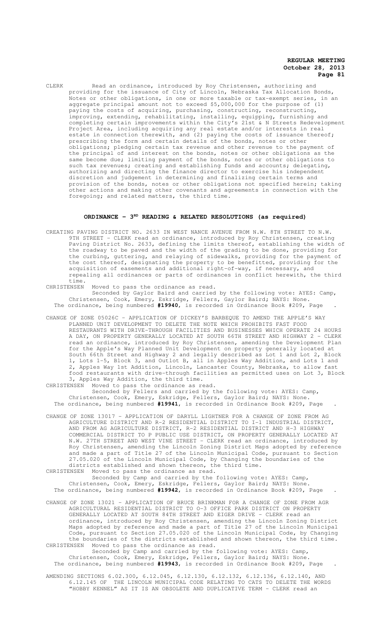CLERK Read an ordinance, introduced by Roy Christensen, authorizing and providing for the issuance of City of Lincoln, Nebraska Tax Allocation Bonds, Notes or other obligations, in one or more taxable or tax-exempt series, in an aggregate principal amount not to exceed \$5,000,000 for the purpose of (1) paying the costs of acquiring, purchasing, constructing, reconstructing, improving, extending, rehabilitating, installing, equipping, furnishing and completing certain improvements within the City's 21st & N Streets Redevelopment Project Area, including acquiring any real estate and/or interests in real estate in connection therewith, and (2) paying the costs of issuance thereof; prescribing the form and certain details of the bonds, notes or other obligations; pledging certain tax revenue and other revenue to the payment of the principal of and interest on the bonds, notes or other obligations as the same become due; limiting payment of the bonds, notes or other obligations to such tax revenues; creating and establishing funds and accounts; delegating, authorizing and directing the finance director to exercise his independent discretion and judgement in determining and finalizing certain terms and provision of the bonds, notes or other obligations not specified herein; taking other actions and making other covenants and agreements in connection with the foregoing; and related matters, the third time.

## ORDINANCE - 3<sup>RD</sup> READING & RELATED RESOLUTIONS (as required)

CREATING PAVING DISTRICT NO. 2633 IN WEST NANCE AVENUE FROM N.W. 8TH STREET TO N.W. 9TH STREET - CLERK read an ordinance, introduced by Roy Christensen, creating Paving District No. 2633, defining the limits thereof, establishing the width of the roadway to be paved and the width of the grading to be done, providing for the curbing, guttering, and relaying of sidewalks, providing for the payment of the cost thereof, designating the property to be benefitted, providing for the acquisition of easements and additional right-of-way, if necessary, and repealing all ordinances or parts of ordinances in conflict herewith, the third

time.<br>CHRISTENSEN Moved to pass the ordinance as read. Seconded by Gaylor Baird and carried by the following vote: AYES: Camp, Christensen, Cook, Emery, Eskridge, Fellers, Gaylor Baird; NAYS: None. The ordinance, being numbered **#19940**, is recorded in Ordinance Book #209, Page .

CHANGE OF ZONE 05026C – APPLICATION OF DICKEY'S BARBEQUE TO AMEND THE APPLE'S WAY PLANNED UNIT DEVELOPMENT TO DELETE THE NOTE WHICH PROHIBITS FAST FOOD RESTAURANTS WITH DRIVE-THROUGH FACILITIES AND BUSINESSES WHICH OPERATE 24 HOURS A DAY, ON PROPERTY GENERALLY LOCATED AT SOUTH 66TH STREET AND HIGHWAY 2 - CLERK read an ordinance, introduced by Roy Christensen, amending the Development Plan for the Apple's Way Planned Unit Development on property generally located at South 66th Street and Highway 2 and legally described as Lot 1 and Lot 2, Block 1, Lots 1-5, Block 3, and Outlot B, all in Apples Way Addition, and Lots 1 and 2, Apples Way 1st Addition, Lincoln, Lancaster County, Nebraska, to allow fast food restaurants with drive-through facilities as permitted uses on Lot 3, Block 3, Apples Way Addition, the third time.<br>CHRISTENSEN Moved to pass the ordinance as re

Moved to pass the ordinance as read.

Seconded by Fellers and carried by the following vote: AYES: Camp, Christensen, Cook, Emery, Eskridge, Fellers, Gaylor Baird; NAYS: None. The ordinance, being numbered **#19941**, is recorded in Ordinance Book #209, Page .

CHANGE OF ZONE 13017 – APPLICATION OF DARYLL LIGHTNER FOR A CHANGE OF ZONE FROM AG AGRICULTURE DISTRICT AND R-2 RESIDENTIAL DISTRICT TO I-1 INDUSTRIAL DISTRICT, AND FROM AG AGRICULTURE DISTRICT, R-2 RESIDENTIAL DISTRICT AND H-3 HIGHWAY COMMERCIAL DISTRICT TO P PUBLIC USE DISTRICT, ON PROPERTY GENERALLY LOCATED AT N.W. 27TH STREET AND WEST VINE STREET - CLERK read an ordinance, introduced by Roy Christensen, amending the Lincoln Zoning District Maps adopted by reference and made a part of Title 27 of the Lincoln Municipal Code, pursuant to Section 27.05.020 of the Lincoln Municipal Code, by Changing the boundaries of the districts established and shown thereon, the third time. CHRISTENSEN Moved to pass the ordinance as read.

Seconded by Camp and carried by the following vote: AYES: Camp, Christensen, Cook, Emery, Eskridge, Fellers, Gaylor Baird; NAYS: None. The ordinance, being numbered **#19942**, is recorded in Ordinance Book #209, Page .

CHANGE OF ZONE 13021 – APPLICATION OF BRUCE BRINKMAN FOR A CHANGE OF ZONE FROM AGR AGRICULTURAL RESIDENTIAL DISTRICT TO O-3 OFFICE PARK DISTRICT ON PROPERTY GENERALLY LOCATED AT SOUTH 84TH STREET AND EIGER DRIVE - CLERK read an ordinance, introduced by Roy Christensen, amending the Lincoln Zoning District Maps adopted by reference and made a part of Title 27 of the Lincoln Municipal Code, pursuant to Section 27.05.020 of the Lincoln Municipal Code, by Changing the boundaries of the districts established and shown thereon, the third time. CHRISTENSEN Moved to pass the ordinance as read.

Seconded by Camp and carried by the following vote: AYES: Camp, Christensen, Cook, Emery, Eskridge, Fellers, Gaylor Baird; NAYS: None. The ordinance, being numbered **#19943**, is recorded in Ordinance Book #209, Page .

AMENDING SECTIONS 6.02.300, 6.12.045, 6.12.130, 6.12.132, 6.12.136, 6.12.140, AND 6.12.145 OF THE LINCOLN MUNICIPAL CODE RELATING TO CATS TO DELETE THE WORDS "HOBBY KENNEL" AS IT IS AN OBSOLETE AND DUPLICATIVE TERM - CLERK read an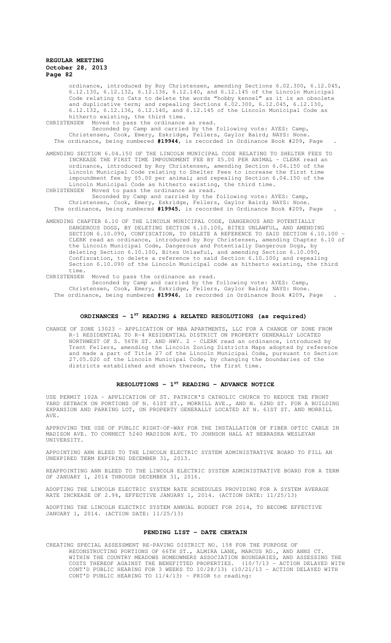ordinance, introduced by Roy Christensen, amending Sections 6.02.300, 6.12.045, 6.12.130, 6.12.132, 6.12.136, 6.12.140, and 6.12.145 of the Lincoln Municipal Code relating to Cats to delete the words "hobby kennel" as it is an obsolete and duplicative term; and repealing Sections 6.02.300, 6.12.045, 6.12.130, 6.12.132, 6.12.136, 6.12.140, and 6.12.145 of the Lincoln Municipal Code as hitherto existing, the third time.

CHRISTENSEN Moved to pass the ordinance as read.

Seconded by Camp and carried by the following vote: AYES: Camp, Christensen, Cook, Emery, Eskridge, Fellers, Gaylor Baird; NAYS: None. The ordinance, being numbered **#19944**, is recorded in Ordinance Book #209, Page .

AMENDING SECTION 6.04.150 OF THE LINCOLN MUNICIPAL CODE RELATING TO SHELTER FEES TO INCREASE THE FIRST TIME IMPOUNDMENT FEE BY \$5.00 PER ANIMAL - CLERK read an ordinance, introduced by Roy Christensen, amending Section 6.04.150 of the Lincoln Municipal Code relating to Shelter Fees to increase the first time impoundment fee by \$5.00 per animal; and repealing Section 6.04.150 of the Lincoln Municipal Code as hitherto existing, the third time. CHRISTENSEN Moved to pass the ordinance as read.

Seconded by Camp and carried by the following vote: AYES: Camp, Christensen, Cook, Emery, Eskridge, Fellers, Gaylor Baird; NAYS: None. The ordinance, being numbered **#19945**, is recorded in Ordinance Book #209, Page .

AMENDING CHAPTER 6.10 OF THE LINCOLN MUNICIPAL CODE, DANGEROUS AND POTENTIALLY DANGEROUS DOGS, BY DELETING SECTION 6.10.100, BITES UNLAWFUL, AND AMENDING SECTION 6.10.090, CONFISCATION, TO DELETE A REFERENCE TO SAID SECTION 6.10.100 -CLERK read an ordinance, introduced by Roy Christensen, amending Chapter 6.10 of the Lincoln Municipal Code, Dangerous and Potentially Dangerous Dogs, by deleting Section 6.10.100, Bites Unlawful, and amending Section 6.10.090, Confiscation, to delete a reference to said Section 6.10.100; and repealing Section 6.10.090 of the Lincoln Municipal code as hitherto existing, the third time.

CHRISTENSEN Moved to pass the ordinance as read.

Seconded by Camp and carried by the following vote: AYES: Camp, Christensen, Cook, Emery, Eskridge, Fellers, Gaylor Baird; NAYS: None. The ordinance, being numbered **#19946**, is recorded in Ordinance Book #209, Page .

# **ORDINANCES - 1ST READING & RELATED RESOLUTIONS (as required)**

CHANGE OF ZONE 13023 – APPLICATION OF MBA APARTMENTS, LLC FOR A CHANGE OF ZONE FROM R-1 RESIDENTIAL TO R-4 RESIDENTIAL DISTRICT ON PROPERTY GENERALLY LOCATED NORTHWEST OF S. 56TH ST. AND HWY. 2 - CLERK read an ordinance, introduced by Trent Fellers, amending the Lincoln Zoning Districts Maps adopted by reference and made a part of Title 27 of the Lincoln Municipal Code, pursuant to Section 27.05.020 of the Lincoln Municipal Code, by changing the boundaries of the districts established and shown thereon, the first time.

## **RESOLUTIONS - 1ST READING - ADVANCE NOTICE**

USE PERMIT 102A – APPLICATION OF ST. PATRICK'S CATHOLIC CHURCH TO REDUCE THE FRONT YARD SETBACK ON PORTIONS OF N. 61ST ST., MORRILL AVE., AND N. 62ND ST. FOR A BUILDING EXPANSION AND PARKING LOT, ON PROPERTY GENERALLY LOCATED AT N. 61ST ST. AND MORRILL AVE.

APPROVING THE USE OF PUBLIC RIGHT-OF-WAY FOR THE INSTALLATION OF FIBER OPTIC CABLE IN MADISON AVE. TO CONNECT 5240 MADISON AVE. TO JOHNSON HALL AT NEBRASKA WESLEYAN UNIVERSITY.

APPOINTING ANN BLEED TO THE LINCOLN ELECTRIC SYSTEM ADMINISTRATIVE BOARD TO FILL AN UNEXPIRED TERM EXPIRING DECEMBER 31, 2013.

REAPPOINTING ANN BLEED TO THE LINCOLN ELECTRIC SYSTEM ADMINISTRATIVE BOARD FOR A TERM OF JANUARY 1, 2014 THROUGH DECEMBER 31, 2016.

ADOPTING THE LINCOLN ELECTRIC SYSTEM RATE SCHEDULES PROVIDING FOR A SYSTEM AVERAGE RATE INCREASE OF 2.9%, EFFECTIVE JANUARY 1, 2014. (ACTION DATE: 11/25/13)

ADOPTING THE LINCOLN ELECTRIC SYSTEM ANNUAL BUDGET FOR 2014, TO BECOME EFFECTIVE JANUARY 1, 2014. (ACTION DATE: 11/25/13)

#### **PENDING LIST - DATE CERTAIN**

CREATING SPECIAL ASSESSMENT RE-PAVING DISTRICT NO. 158 FOR THE PURPOSE OF RECONSTRUCTING PORTIONS OF 66TH ST., ALMIRA LANE, MARCUS RD., AND ANNS CT. WITHIN THE COUNTRY MEADOWS HOMEOWNERS ASSOCIATION BOUNDARIES, AND ASSESSING THE COSTS THEREOF AGAINST THE BENEFITTED PROPERTIES. (10/7/13 - ACTION DELAYED WITH CONT'D PUBLIC HEARING FOR 3 WEEKS TO 10/28/13) (10/21/13 - ACTION DELAYED WITH CONT'D PUBLIC HEARING TO 11/4/13) - PRIOR to reading: